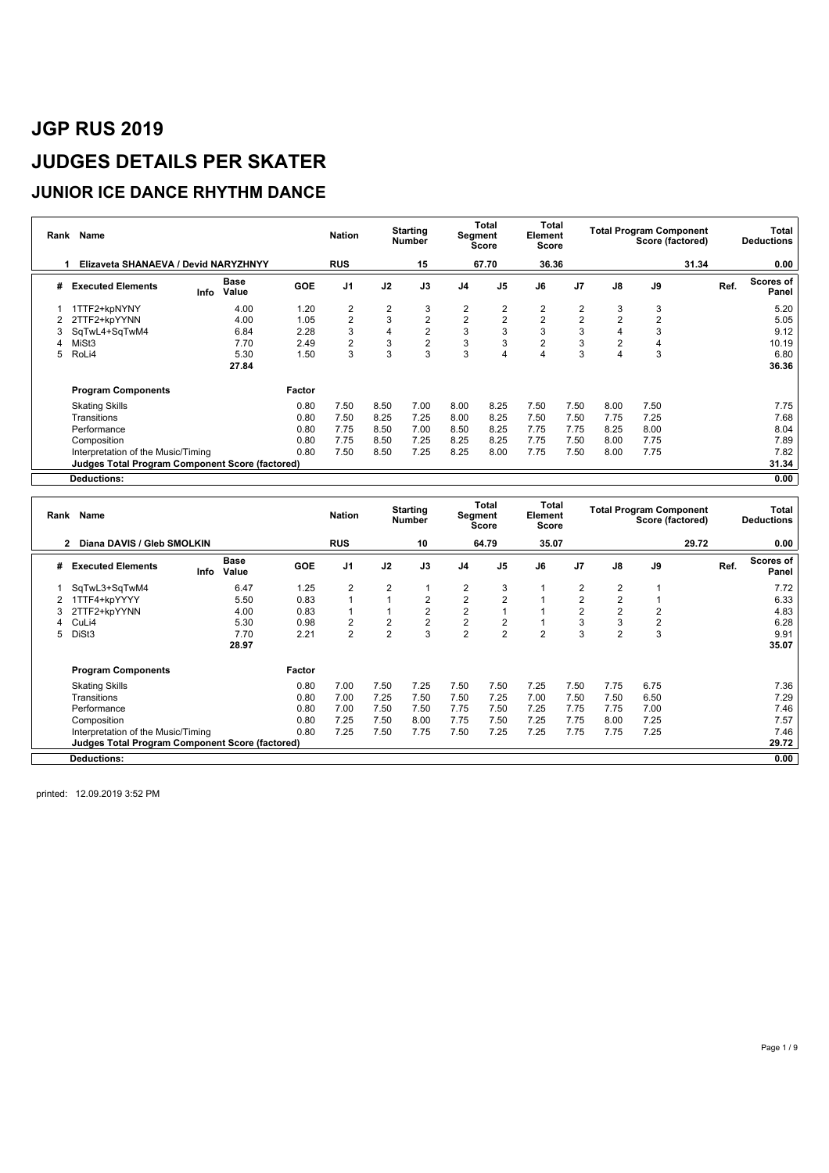#### **JUNIOR ICE DANCE RHYTHM DANCE**

| Rank | Name                                            |                       |            | <b>Nation</b>  |      | <b>Starting</b><br>Number |                | Total<br>Segment<br><b>Score</b> | Total<br>Element<br>Score |                |                | <b>Total Program Component</b><br>Score (factored) |       | Total<br><b>Deductions</b> |
|------|-------------------------------------------------|-----------------------|------------|----------------|------|---------------------------|----------------|----------------------------------|---------------------------|----------------|----------------|----------------------------------------------------|-------|----------------------------|
|      | Elizaveta SHANAEVA / Devid NARYZHNYY            |                       |            | <b>RUS</b>     |      | 15                        |                | 67.70                            | 36.36                     |                |                |                                                    | 31.34 | 0.00                       |
| #    | <b>Executed Elements</b>                        | Base<br>Value<br>Info | <b>GOE</b> | J <sub>1</sub> | J2   | J3                        | J <sub>4</sub> | J <sub>5</sub>                   | J6                        | J <sub>7</sub> | J8             | J9                                                 |       | Scores of<br>Ref.<br>Panel |
|      | 1TTF2+kpNYNY                                    | 4.00                  | 1.20       | $\overline{2}$ | 2    | 3                         | 2              | $\overline{2}$                   | $\overline{2}$            | 2              | 3              | 3                                                  |       | 5.20                       |
|      | 2TTF2+kpYYNN                                    | 4.00                  | 1.05       | $\overline{2}$ | 3    | $\overline{2}$            | $\overline{2}$ | $\overline{2}$                   | $\overline{2}$            | $\overline{2}$ | $\overline{2}$ | $\overline{2}$                                     |       | 5.05                       |
| 3    | SqTwL4+SqTwM4                                   | 6.84                  | 2.28       | 3              | 4    | $\overline{2}$            | 3              | 3                                | 3                         | 3              |                | 3                                                  |       | 9.12                       |
|      | MiSt3                                           | 7.70                  | 2.49       | $\overline{2}$ | 3    | $\overline{2}$            | 3              | 3                                | $\overline{\mathbf{c}}$   | 3              |                |                                                    |       | 10.19                      |
| 5    | RoLi4                                           | 5.30                  | 1.50       | 3              | 3    | 3                         | 3              | 4                                |                           | 3              |                | 3                                                  |       | 6.80                       |
|      |                                                 | 27.84                 |            |                |      |                           |                |                                  |                           |                |                |                                                    |       | 36.36                      |
|      | <b>Program Components</b>                       |                       | Factor     |                |      |                           |                |                                  |                           |                |                |                                                    |       |                            |
|      | <b>Skating Skills</b>                           |                       | 0.80       | 7.50           | 8.50 | 7.00                      | 8.00           | 8.25                             | 7.50                      | 7.50           | 8.00           | 7.50                                               |       | 7.75                       |
|      | Transitions                                     |                       | 0.80       | 7.50           | 8.25 | 7.25                      | 8.00           | 8.25                             | 7.50                      | 7.50           | 7.75           | 7.25                                               |       | 7.68                       |
|      | Performance                                     |                       | 0.80       | 7.75           | 8.50 | 7.00                      | 8.50           | 8.25                             | 7.75                      | 7.75           | 8.25           | 8.00                                               |       | 8.04                       |
|      | Composition                                     |                       | 0.80       | 7.75           | 8.50 | 7.25                      | 8.25           | 8.25                             | 7.75                      | 7.50           | 8.00           | 7.75                                               |       | 7.89                       |
|      | Interpretation of the Music/Timing              |                       | 0.80       | 7.50           | 8.50 | 7.25                      | 8.25           | 8.00                             | 7.75                      | 7.50           | 8.00           | 7.75                                               |       | 7.82                       |
|      | Judges Total Program Component Score (factored) |                       |            |                |      |                           |                |                                  |                           |                |                |                                                    |       | 31.34                      |
|      | <b>Deductions:</b>                              |                       |            |                |      |                           |                |                                  |                           |                |                |                                                    |       | 0.00                       |

|   | Rank Name                                       |      |                      |            | <b>Nation</b>  |                | <b>Starting</b><br><b>Number</b> |                | Total<br>Segment<br><b>Score</b> | Total<br>Element<br>Score |                |                | <b>Total Program Component</b><br>Score (factored) |       |      | Total<br><b>Deductions</b> |
|---|-------------------------------------------------|------|----------------------|------------|----------------|----------------|----------------------------------|----------------|----------------------------------|---------------------------|----------------|----------------|----------------------------------------------------|-------|------|----------------------------|
|   | Diana DAVIS / Gleb SMOLKIN<br>$\overline{2}$    |      |                      |            | <b>RUS</b>     |                | 10                               |                | 64.79                            | 35.07                     |                |                |                                                    | 29.72 |      | 0.00                       |
| # | <b>Executed Elements</b>                        | Info | <b>Base</b><br>Value | <b>GOE</b> | J <sub>1</sub> | J2             | J3                               | J <sub>4</sub> | J <sub>5</sub>                   | J6                        | J <sub>7</sub> | J8             | J9                                                 |       | Ref. | <b>Scores of</b><br>Panel  |
|   | SqTwL3+SqTwM4                                   |      | 6.47                 | 1.25       | $\overline{2}$ | 2              |                                  | 2              | 3                                |                           | $\overline{2}$ | 2              |                                                    |       |      | 7.72                       |
|   | 1TTF4+kpYYYY                                    |      | 5.50                 | 0.83       |                |                | $\overline{2}$                   | $\overline{2}$ | $\overline{2}$                   |                           | $\overline{2}$ | $\overline{2}$ |                                                    |       |      | 6.33                       |
|   | 2TTF2+kpYYNN                                    |      | 4.00                 | 0.83       |                |                | $\overline{2}$                   | $\overline{2}$ |                                  |                           | 2              | $\overline{2}$ | 2                                                  |       |      | 4.83                       |
|   | CuLi4                                           |      | 5.30                 | 0.98       | $\overline{2}$ | 2              | $\overline{2}$                   | $\overline{2}$ | $\overline{2}$                   |                           | 3              | 3              | $\overline{2}$                                     |       |      | 6.28                       |
| 5 | DiSt3                                           |      | 7.70                 | 2.21       | $\overline{2}$ | $\overline{2}$ | 3                                | $\overline{2}$ | $\overline{2}$                   | $\overline{2}$            | 3              | $\overline{2}$ | 3                                                  |       |      | 9.91                       |
|   |                                                 |      | 28.97                |            |                |                |                                  |                |                                  |                           |                |                |                                                    |       |      | 35.07                      |
|   | <b>Program Components</b>                       |      |                      | Factor     |                |                |                                  |                |                                  |                           |                |                |                                                    |       |      |                            |
|   | <b>Skating Skills</b>                           |      |                      | 0.80       | 7.00           | 7.50           | 7.25                             | 7.50           | 7.50                             | 7.25                      | 7.50           | 7.75           | 6.75                                               |       |      | 7.36                       |
|   | Transitions                                     |      |                      | 0.80       | 7.00           | 7.25           | 7.50                             | 7.50           | 7.25                             | 7.00                      | 7.50           | 7.50           | 6.50                                               |       |      | 7.29                       |
|   | Performance                                     |      |                      | 0.80       | 7.00           | 7.50           | 7.50                             | 7.75           | 7.50                             | 7.25                      | 7.75           | 7.75           | 7.00                                               |       |      | 7.46                       |
|   | Composition                                     |      |                      | 0.80       | 7.25           | 7.50           | 8.00                             | 7.75           | 7.50                             | 7.25                      | 7.75           | 8.00           | 7.25                                               |       |      | 7.57                       |
|   | Interpretation of the Music/Timing              |      |                      | 0.80       | 7.25           | 7.50           | 7.75                             | 7.50           | 7.25                             | 7.25                      | 7.75           | 7.75           | 7.25                                               |       |      | 7.46                       |
|   | Judges Total Program Component Score (factored) |      |                      |            |                |                |                                  |                |                                  |                           |                |                |                                                    |       |      | 29.72                      |
|   | <b>Deductions:</b>                              |      |                      |            |                |                |                                  |                |                                  |                           |                |                |                                                    |       |      | 0.00                       |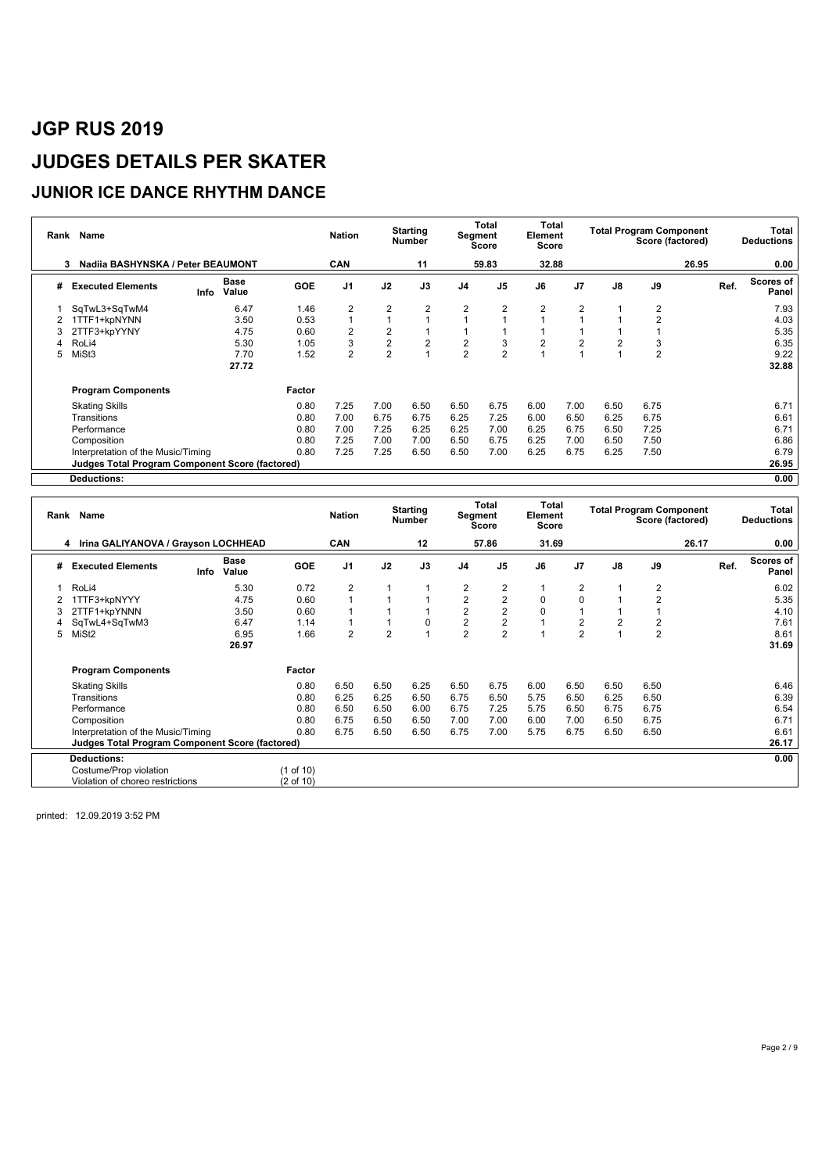#### **JUNIOR ICE DANCE RHYTHM DANCE**

| Rank | Name                                                   |                       |            | <b>Nation</b>  |                | <b>Starting</b><br><b>Number</b> |                | Total<br>Segment<br>Score | Total<br>Element<br>Score |                |               | <b>Total Program Component</b><br>Score (factored) |       | Total<br><b>Deductions</b>        |
|------|--------------------------------------------------------|-----------------------|------------|----------------|----------------|----------------------------------|----------------|---------------------------|---------------------------|----------------|---------------|----------------------------------------------------|-------|-----------------------------------|
|      | Nadiia BASHYNSKA / Peter BEAUMONT<br>3                 |                       |            | <b>CAN</b>     |                | 11                               |                | 59.83                     | 32.88                     |                |               |                                                    | 26.95 | 0.00                              |
| #    | <b>Executed Elements</b>                               | Base<br>Value<br>Info | <b>GOE</b> | J <sub>1</sub> | J2             | J3                               | J4             | J <sub>5</sub>            | J6                        | J <sub>7</sub> | $\mathsf{J}8$ | J9                                                 |       | <b>Scores of</b><br>Ref.<br>Panel |
|      | SqTwL3+SqTwM4                                          | 6.47                  | 1.46       | $\overline{2}$ | $\overline{2}$ | $\overline{2}$                   | $\overline{2}$ | $\overline{2}$            | $\overline{2}$            | $\overline{2}$ |               | $\overline{2}$                                     |       | 7.93                              |
| 2    | 1TTF1+kpNYNN                                           | 3.50                  | 0.53       |                |                |                                  |                |                           |                           |                |               | 2                                                  |       | 4.03                              |
| 3    | 2TTF3+kpYYNY                                           | 4.75                  | 0.60       | $\overline{2}$ | $\overline{2}$ |                                  |                |                           |                           |                |               |                                                    |       | 5.35                              |
| Δ    | RoLi4                                                  | 5.30                  | 1.05       | 3              | $\overline{2}$ | $\overline{2}$                   | $\overline{c}$ | 3                         | $\overline{2}$            | $\overline{2}$ |               | 3                                                  |       | 6.35                              |
| 5    | MiSt3                                                  | 7.70                  | 1.52       | $\overline{2}$ | $\overline{2}$ |                                  | $\overline{2}$ | $\overline{2}$            |                           |                |               | $\overline{2}$                                     |       | 9.22                              |
|      |                                                        | 27.72                 |            |                |                |                                  |                |                           |                           |                |               |                                                    |       | 32.88                             |
|      | <b>Program Components</b>                              |                       | Factor     |                |                |                                  |                |                           |                           |                |               |                                                    |       |                                   |
|      | <b>Skating Skills</b>                                  |                       | 0.80       | 7.25           | 7.00           | 6.50                             | 6.50           | 6.75                      | 6.00                      | 7.00           | 6.50          | 6.75                                               |       | 6.71                              |
|      | Transitions                                            |                       | 0.80       | 7.00           | 6.75           | 6.75                             | 6.25           | 7.25                      | 6.00                      | 6.50           | 6.25          | 6.75                                               |       | 6.61                              |
|      | Performance                                            |                       | 0.80       | 7.00           | 7.25           | 6.25                             | 6.25           | 7.00                      | 6.25                      | 6.75           | 6.50          | 7.25                                               |       | 6.71                              |
|      | Composition                                            |                       | 0.80       | 7.25           | 7.00           | 7.00                             | 6.50           | 6.75                      | 6.25                      | 7.00           | 6.50          | 7.50                                               |       | 6.86                              |
|      | Interpretation of the Music/Timing                     |                       | 0.80       | 7.25           | 7.25           | 6.50                             | 6.50           | 7.00                      | 6.25                      | 6.75           | 6.25          | 7.50                                               |       | 6.79                              |
|      | <b>Judges Total Program Component Score (factored)</b> |                       |            |                |                |                                  |                |                           |                           |                |               |                                                    |       | 26.95                             |
|      | <b>Deductions:</b>                                     |                       |            |                |                |                                  |                |                           |                           |                |               |                                                    |       | 0.00                              |

| Rank | Name                                                   |      |               |                      | <b>Nation</b>  |                | <b>Starting</b><br><b>Number</b> |                  | Total<br>Segment<br><b>Score</b> | Total<br>Element<br><b>Score</b> |                |      | <b>Total Program Component</b><br>Score (factored) |       |      | <b>Total</b><br><b>Deductions</b> |
|------|--------------------------------------------------------|------|---------------|----------------------|----------------|----------------|----------------------------------|------------------|----------------------------------|----------------------------------|----------------|------|----------------------------------------------------|-------|------|-----------------------------------|
|      | 4 Irina GALIYANOVA / Grayson LOCHHEAD                  |      |               |                      | <b>CAN</b>     |                | 12                               |                  | 57.86                            | 31.69                            |                |      |                                                    | 26.17 |      | 0.00                              |
| #    | <b>Executed Elements</b>                               | Info | Base<br>Value | <b>GOE</b>           | J <sub>1</sub> | J2             | J3                               | J <sub>4</sub>   | J5                               | J6                               | J <sub>7</sub> | J8   | J9                                                 |       | Ref. | <b>Scores of</b><br>Panel         |
|      | RoLi4                                                  |      | 5.30          | 0.72                 | $\overline{2}$ |                |                                  | $\overline{2}$   | $\overline{2}$                   |                                  | $\overline{2}$ |      | 2                                                  |       |      | 6.02                              |
|      | 1TTF3+kpNYYY                                           |      | 4.75          | 0.60                 |                |                |                                  | $\boldsymbol{2}$ | $\mathbf 2$                      | $\mathbf 0$                      | $\mathbf 0$    |      | $\overline{2}$                                     |       |      | 5.35                              |
|      | 2TTF1+kpYNNN                                           |      | 3.50          | 0.60                 |                |                |                                  | $\boldsymbol{2}$ | $\overline{2}$                   | $\mathbf 0$                      |                |      |                                                    |       |      | 4.10                              |
|      | SqTwL4+SqTwM3                                          |      | 6.47          | 1.14                 |                |                | 0                                | $\mathbf 2$      | $\boldsymbol{2}$                 |                                  | $\overline{2}$ | 2    | 2                                                  |       |      | 7.61                              |
| 5    | MiSt <sub>2</sub>                                      |      | 6.95          | 1.66                 | $\overline{2}$ | $\overline{2}$ |                                  | $\overline{2}$   | $\overline{2}$                   |                                  | $\overline{2}$ |      | $\overline{2}$                                     |       |      | 8.61                              |
|      |                                                        |      | 26.97         |                      |                |                |                                  |                  |                                  |                                  |                |      |                                                    |       |      | 31.69                             |
|      | <b>Program Components</b>                              |      |               | Factor               |                |                |                                  |                  |                                  |                                  |                |      |                                                    |       |      |                                   |
|      | <b>Skating Skills</b>                                  |      |               | 0.80                 | 6.50           | 6.50           | 6.25                             | 6.50             | 6.75                             | 6.00                             | 6.50           | 6.50 | 6.50                                               |       |      | 6.46                              |
|      | Transitions                                            |      |               | 0.80                 | 6.25           | 6.25           | 6.50                             | 6.75             | 6.50                             | 5.75                             | 6.50           | 6.25 | 6.50                                               |       |      | 6.39                              |
|      | Performance                                            |      |               | 0.80                 | 6.50           | 6.50           | 6.00                             | 6.75             | 7.25                             | 5.75                             | 6.50           | 6.75 | 6.75                                               |       |      | 6.54                              |
|      | Composition                                            |      |               | 0.80                 | 6.75           | 6.50           | 6.50                             | 7.00             | 7.00                             | 6.00                             | 7.00           | 6.50 | 6.75                                               |       |      | 6.71                              |
|      | Interpretation of the Music/Timing                     |      |               | 0.80                 | 6.75           | 6.50           | 6.50                             | 6.75             | 7.00                             | 5.75                             | 6.75           | 6.50 | 6.50                                               |       |      | 6.61                              |
|      | <b>Judges Total Program Component Score (factored)</b> |      |               |                      |                |                |                                  |                  |                                  |                                  |                |      |                                                    |       |      | 26.17                             |
|      | <b>Deductions:</b>                                     |      |               |                      |                |                |                                  |                  |                                  |                                  |                |      |                                                    |       |      | 0.00                              |
|      | Costume/Prop violation                                 |      |               | (1 of 10)            |                |                |                                  |                  |                                  |                                  |                |      |                                                    |       |      |                                   |
|      | Violation of choreo restrictions                       |      |               | $(2 \text{ of } 10)$ |                |                |                                  |                  |                                  |                                  |                |      |                                                    |       |      |                                   |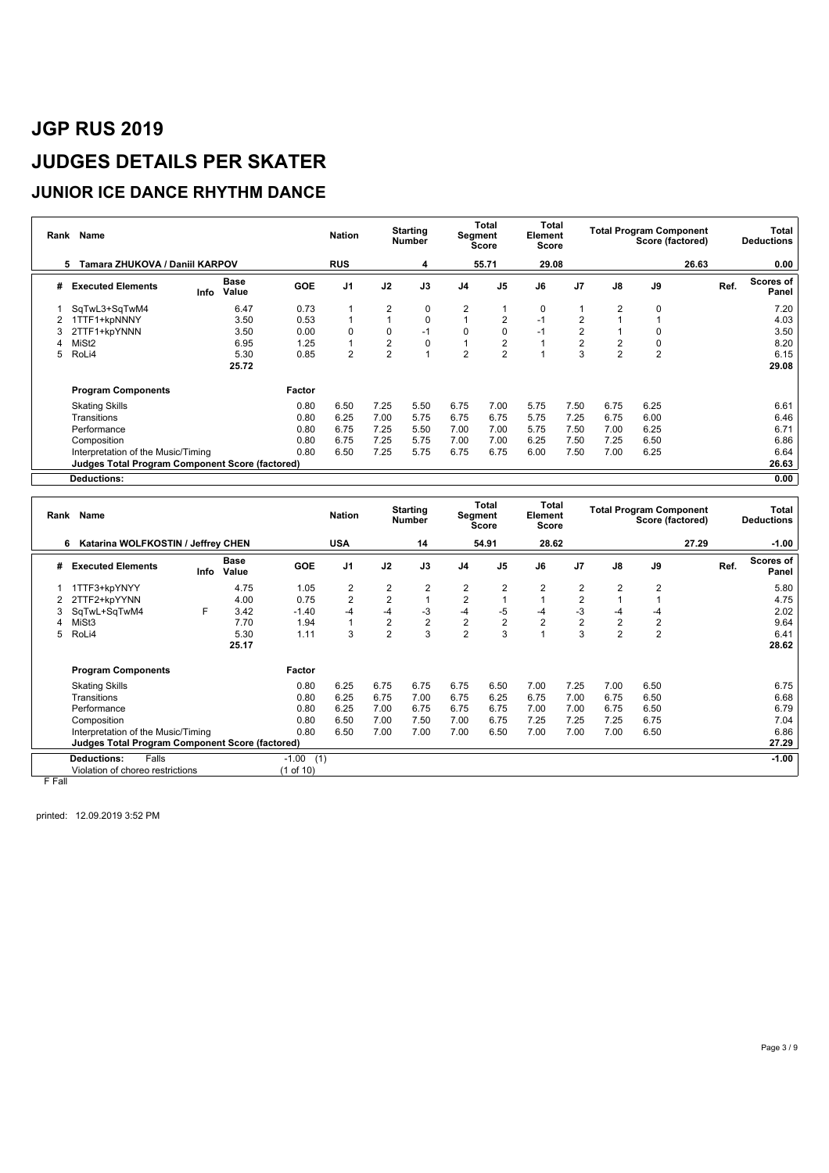#### **JUNIOR ICE DANCE RHYTHM DANCE**

| Rank | Name                                                   |                              |            | <b>Nation</b>  |                | <b>Starting</b><br><b>Number</b> | Segment        | Total<br><b>Score</b> | <b>Total</b><br>Element<br>Score |                |                | <b>Total Program Component</b><br>Score (factored) |       | Total<br><b>Deductions</b> |
|------|--------------------------------------------------------|------------------------------|------------|----------------|----------------|----------------------------------|----------------|-----------------------|----------------------------------|----------------|----------------|----------------------------------------------------|-------|----------------------------|
|      | Tamara ZHUKOVA / Daniil KARPOV<br>5                    |                              |            | <b>RUS</b>     |                | 4                                |                | 55.71                 | 29.08                            |                |                |                                                    | 26.63 | 0.00                       |
| #    | <b>Executed Elements</b>                               | <b>Base</b><br>Value<br>Info | <b>GOE</b> | J <sub>1</sub> | J2             | J3                               | J <sub>4</sub> | J <sub>5</sub>        | J6                               | J <sub>7</sub> | J8             | J9                                                 |       | Scores of<br>Ref.<br>Panel |
|      | SqTwL3+SqTwM4                                          | 6.47                         | 0.73       |                | 2              | 0                                | 2              |                       | 0                                |                | 2              | 0                                                  |       | 7.20                       |
| 2    | 1TTF1+kpNNNY                                           | 3.50                         | 0.53       |                |                | $\mathbf 0$                      |                | 2                     | $-1$                             | $\overline{2}$ |                |                                                    |       | 4.03                       |
| 3    | 2TTF1+kpYNNN                                           | 3.50                         | 0.00       | $\Omega$       | 0              | $-1$                             | 0              | $\mathbf 0$           | $-1$                             | $\overline{2}$ |                | 0                                                  |       | 3.50                       |
|      | MiSt <sub>2</sub>                                      | 6.95                         | 1.25       |                | 2              | 0                                |                | $\overline{2}$        |                                  | $\mathbf 2$    | 2              | 0                                                  |       | 8.20                       |
| 5    | RoLi4                                                  | 5.30                         | 0.85       | $\overline{2}$ | $\overline{2}$ |                                  | $\overline{2}$ | $\overline{2}$        |                                  | 3              | $\overline{2}$ | $\overline{2}$                                     |       | 6.15                       |
|      |                                                        | 25.72                        |            |                |                |                                  |                |                       |                                  |                |                |                                                    |       | 29.08                      |
|      | <b>Program Components</b>                              |                              | Factor     |                |                |                                  |                |                       |                                  |                |                |                                                    |       |                            |
|      | <b>Skating Skills</b>                                  |                              | 0.80       | 6.50           | 7.25           | 5.50                             | 6.75           | 7.00                  | 5.75                             | 7.50           | 6.75           | 6.25                                               |       | 6.61                       |
|      | Transitions                                            |                              | 0.80       | 6.25           | 7.00           | 5.75                             | 6.75           | 6.75                  | 5.75                             | 7.25           | 6.75           | 6.00                                               |       | 6.46                       |
|      | Performance                                            |                              | 0.80       | 6.75           | 7.25           | 5.50                             | 7.00           | 7.00                  | 5.75                             | 7.50           | 7.00           | 6.25                                               |       | 6.71                       |
|      | Composition                                            |                              | 0.80       | 6.75           | 7.25           | 5.75                             | 7.00           | 7.00                  | 6.25                             | 7.50           | 7.25           | 6.50                                               |       | 6.86                       |
|      | Interpretation of the Music/Timing                     |                              | 0.80       | 6.50           | 7.25           | 5.75                             | 6.75           | 6.75                  | 6.00                             | 7.50           | 7.00           | 6.25                                               |       | 6.64                       |
|      | <b>Judges Total Program Component Score (factored)</b> |                              |            |                |                |                                  |                |                       |                                  |                |                |                                                    |       | 26.63                      |
|      | <b>Deductions:</b>                                     |                              |            |                |                |                                  |                |                       |                                  |                |                |                                                    |       | 0.00                       |

|   | Rank Name                                              |      |                      |                | <b>Nation</b>  |                | <b>Starting</b><br><b>Number</b> | Segment        | Total<br><b>Score</b> | Total<br>Element<br><b>Score</b> |                         |                  | <b>Total Program Component</b> | Score (factored) |      | Total<br><b>Deductions</b> |
|---|--------------------------------------------------------|------|----------------------|----------------|----------------|----------------|----------------------------------|----------------|-----------------------|----------------------------------|-------------------------|------------------|--------------------------------|------------------|------|----------------------------|
| 6 | Katarina WOLFKOSTIN / Jeffrey CHEN                     |      |                      |                | <b>USA</b>     |                | 14                               |                | 54.91                 | 28.62                            |                         |                  |                                | 27.29            |      | $-1.00$                    |
| # | <b>Executed Elements</b>                               | Info | <b>Base</b><br>Value | <b>GOE</b>     | J <sub>1</sub> | J2             | J3                               | J <sub>4</sub> | J <sub>5</sub>        | J6                               | J <sub>7</sub>          | J8               | J9                             |                  | Ref. | <b>Scores of</b><br>Panel  |
|   | 1TTF3+kpYNYY                                           |      | 4.75                 | 1.05           | 2              | 2              | $\overline{2}$                   | 2              | $\overline{2}$        | 2                                | $\overline{2}$          | $\overline{2}$   | 2                              |                  |      | 5.80                       |
|   | 2TTF2+kpYYNN                                           |      | 4.00                 | 0.75           | $\overline{2}$ | 2              |                                  | $\overline{2}$ |                       |                                  | $\overline{2}$          |                  |                                |                  |      | 4.75                       |
|   | SqTwL+SqTwM4                                           | F    | 3.42                 | $-1.40$        | $-4$           | $-4$           | $-3$                             | $-4$           | $-5$                  | $-4$                             | -3                      | -4               | -4                             |                  |      | 2.02                       |
|   | MiSt3                                                  |      | 7.70                 | 1.94           |                | 2              | $\sqrt{2}$                       | $\sqrt{2}$     | $\sqrt{2}$            | $\overline{2}$                   | $\overline{\mathbf{c}}$ | $\boldsymbol{2}$ | $\overline{c}$                 |                  |      | 9.64                       |
| 5 | RoLi4                                                  |      | 5.30                 | 1.11           | 3              | $\overline{2}$ | 3                                | $\overline{2}$ | 3                     |                                  | 3                       | $\overline{2}$   | $\overline{2}$                 |                  |      | 6.41                       |
|   |                                                        |      | 25.17                |                |                |                |                                  |                |                       |                                  |                         |                  |                                |                  |      | 28.62                      |
|   | <b>Program Components</b>                              |      |                      | Factor         |                |                |                                  |                |                       |                                  |                         |                  |                                |                  |      |                            |
|   | <b>Skating Skills</b>                                  |      |                      | 0.80           | 6.25           | 6.75           | 6.75                             | 6.75           | 6.50                  | 7.00                             | 7.25                    | 7.00             | 6.50                           |                  |      | 6.75                       |
|   | Transitions                                            |      |                      | 0.80           | 6.25           | 6.75           | 7.00                             | 6.75           | 6.25                  | 6.75                             | 7.00                    | 6.75             | 6.50                           |                  |      | 6.68                       |
|   | Performance                                            |      |                      | 0.80           | 6.25           | 7.00           | 6.75                             | 6.75           | 6.75                  | 7.00                             | 7.00                    | 6.75             | 6.50                           |                  |      | 6.79                       |
|   | Composition                                            |      |                      | 0.80           | 6.50           | 7.00           | 7.50                             | 7.00           | 6.75                  | 7.25                             | 7.25                    | 7.25             | 6.75                           |                  |      | 7.04                       |
|   | Interpretation of the Music/Timing                     |      |                      | 0.80           | 6.50           | 7.00           | 7.00                             | 7.00           | 6.50                  | 7.00                             | 7.00                    | 7.00             | 6.50                           |                  |      | 6.86                       |
|   | <b>Judges Total Program Component Score (factored)</b> |      |                      |                |                |                |                                  |                |                       |                                  |                         |                  |                                |                  |      | 27.29                      |
|   | <b>Deductions:</b><br>Falls                            |      |                      | $-1.00$<br>(1) |                |                |                                  |                |                       |                                  |                         |                  |                                |                  |      | $-1.00$                    |
|   | Violation of choreo restrictions                       |      |                      | (1 of 10)      |                |                |                                  |                |                       |                                  |                         |                  |                                |                  |      |                            |

F Fall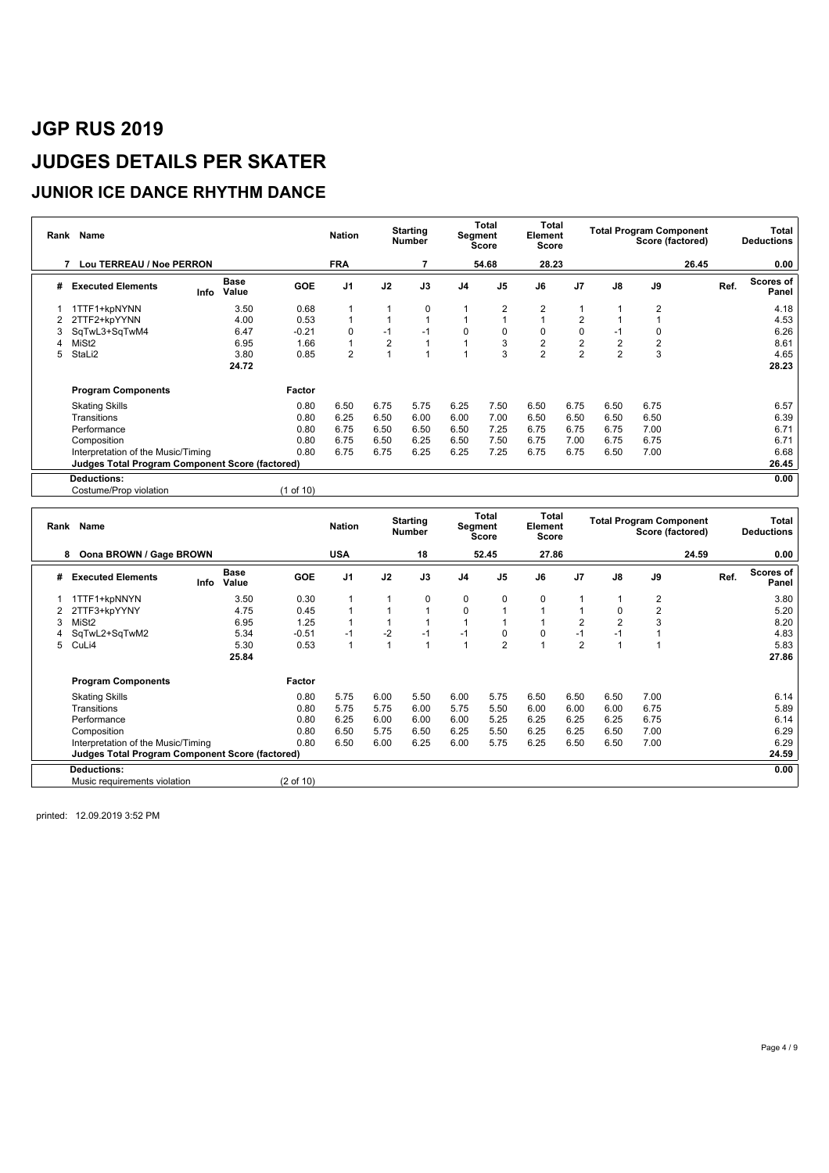### **JUNIOR ICE DANCE RHYTHM DANCE**

| Rank | Name                                                   |      |                      |            | <b>Nation</b>  |                | <b>Starting</b><br><b>Number</b> |                | Total<br>Segment<br>Score | Total<br>Element<br>Score |                |                         | <b>Total Program Component</b><br>Score (factored) |       |      | Total<br><b>Deductions</b> |
|------|--------------------------------------------------------|------|----------------------|------------|----------------|----------------|----------------------------------|----------------|---------------------------|---------------------------|----------------|-------------------------|----------------------------------------------------|-------|------|----------------------------|
|      | Lou TERREAU / Noe PERRON<br>7                          |      |                      |            | <b>FRA</b>     |                |                                  |                | 54.68                     | 28.23                     |                |                         |                                                    | 26.45 |      | 0.00                       |
| #    | <b>Executed Elements</b>                               | Info | <b>Base</b><br>Value | <b>GOE</b> | J <sub>1</sub> | J2             | J3                               | J <sub>4</sub> | J <sub>5</sub>            | J6                        | J <sub>7</sub> | $\mathsf{J}8$           | J9                                                 |       | Ref. | <b>Scores of</b><br>Panel  |
|      | 1TTF1+kpNYNN                                           |      | 3.50                 | 0.68       |                |                | $\mathbf 0$                      |                | $\overline{2}$            | $\overline{2}$            | 1              |                         | $\overline{2}$                                     |       |      | 4.18                       |
|      | 2TTF2+kpYYNN                                           |      | 4.00                 | 0.53       |                |                |                                  |                |                           |                           | 2              |                         |                                                    |       |      | 4.53                       |
| 3    | SqTwL3+SqTwM4                                          |      | 6.47                 | $-0.21$    | $\Omega$       | $-1$           | $-1$                             | $\mathbf 0$    | $\mathbf 0$               | 0                         | 0              | -1                      | 0                                                  |       |      | 6.26                       |
| Λ    | MiSt <sub>2</sub>                                      |      | 6.95                 | 1.66       |                | $\overline{2}$ |                                  |                | 3                         | $\overline{\mathbf{c}}$   | $\frac{2}{2}$  | $\overline{\mathbf{c}}$ | $\overline{2}$                                     |       |      | 8.61                       |
| 5    | StaLi2                                                 |      | 3.80                 | 0.85       | $\overline{2}$ |                |                                  |                | 3                         | $\overline{2}$            |                | $\overline{2}$          | 3                                                  |       |      | 4.65                       |
|      |                                                        |      | 24.72                |            |                |                |                                  |                |                           |                           |                |                         |                                                    |       |      | 28.23                      |
|      | <b>Program Components</b>                              |      |                      | Factor     |                |                |                                  |                |                           |                           |                |                         |                                                    |       |      |                            |
|      | <b>Skating Skills</b>                                  |      |                      | 0.80       | 6.50           | 6.75           | 5.75                             | 6.25           | 7.50                      | 6.50                      | 6.75           | 6.50                    | 6.75                                               |       |      | 6.57                       |
|      | Transitions                                            |      |                      | 0.80       | 6.25           | 6.50           | 6.00                             | 6.00           | 7.00                      | 6.50                      | 6.50           | 6.50                    | 6.50                                               |       |      | 6.39                       |
|      | Performance                                            |      |                      | 0.80       | 6.75           | 6.50           | 6.50                             | 6.50           | 7.25                      | 6.75                      | 6.75           | 6.75                    | 7.00                                               |       |      | 6.71                       |
|      | Composition                                            |      |                      | 0.80       | 6.75           | 6.50           | 6.25                             | 6.50           | 7.50                      | 6.75                      | 7.00           | 6.75                    | 6.75                                               |       |      | 6.71                       |
|      | Interpretation of the Music/Timing                     |      |                      | 0.80       | 6.75           | 6.75           | 6.25                             | 6.25           | 7.25                      | 6.75                      | 6.75           | 6.50                    | 7.00                                               |       |      | 6.68                       |
|      | <b>Judges Total Program Component Score (factored)</b> |      |                      |            |                |                |                                  |                |                           |                           |                |                         |                                                    |       |      | 26.45                      |
|      | <b>Deductions:</b>                                     |      |                      |            |                |                |                                  |                |                           |                           |                |                         |                                                    |       |      | 0.00                       |
|      | Costume/Prop violation                                 |      |                      | (1 of 10)  |                |                |                                  |                |                           |                           |                |                         |                                                    |       |      |                            |

|   | Rank Name                                       |      |                      |                      | <b>Nation</b>  |      | <b>Starting</b><br><b>Number</b> | Segment        | Total<br><b>Score</b> | <b>Total</b><br>Element<br><b>Score</b> |                |      | <b>Total Program Component</b><br>Score (factored) |       |      | Total<br><b>Deductions</b> |
|---|-------------------------------------------------|------|----------------------|----------------------|----------------|------|----------------------------------|----------------|-----------------------|-----------------------------------------|----------------|------|----------------------------------------------------|-------|------|----------------------------|
|   | Oona BROWN / Gage BROWN<br>8                    |      |                      |                      | <b>USA</b>     |      | 18                               |                | 52.45                 | 27.86                                   |                |      |                                                    | 24.59 |      | 0.00                       |
| # | <b>Executed Elements</b>                        | Info | <b>Base</b><br>Value | <b>GOE</b>           | J <sub>1</sub> | J2   | J3                               | J <sub>4</sub> | J <sub>5</sub>        | J6                                      | J <sub>7</sub> | J8   | J9                                                 |       | Ref. | <b>Scores of</b><br>Panel  |
|   | 1TTF1+kpNNYN                                    |      | 3.50                 | 0.30                 |                |      | 0                                | 0              | 0                     | 0                                       |                |      | 2                                                  |       |      | 3.80                       |
|   | 2TTF3+kpYYNY                                    |      | 4.75                 | 0.45                 |                |      | 1                                | 0              |                       |                                         |                |      | $\overline{2}$                                     |       |      | 5.20                       |
|   | MiSt <sub>2</sub>                               |      | 6.95                 | 1.25                 |                |      |                                  |                |                       |                                         | $\overline{2}$ | 2    | 3                                                  |       |      | 8.20                       |
|   | SqTwL2+SqTwM2                                   |      | 5.34                 | $-0.51$              | $-1$           | $-2$ | $-1$                             | $-1$           | 0                     | $\Omega$                                | $-1$           | -1   |                                                    |       |      | 4.83                       |
| 5 | CuLi4                                           |      | 5.30                 | 0.53                 |                |      | $\overline{1}$                   |                | $\overline{2}$        |                                         | $\overline{2}$ |      |                                                    |       |      | 5.83                       |
|   |                                                 |      | 25.84                |                      |                |      |                                  |                |                       |                                         |                |      |                                                    |       |      | 27.86                      |
|   | <b>Program Components</b>                       |      |                      | Factor               |                |      |                                  |                |                       |                                         |                |      |                                                    |       |      |                            |
|   | <b>Skating Skills</b>                           |      |                      | 0.80                 | 5.75           | 6.00 | 5.50                             | 6.00           | 5.75                  | 6.50                                    | 6.50           | 6.50 | 7.00                                               |       |      | 6.14                       |
|   | Transitions                                     |      |                      | 0.80                 | 5.75           | 5.75 | 6.00                             | 5.75           | 5.50                  | 6.00                                    | 6.00           | 6.00 | 6.75                                               |       |      | 5.89                       |
|   | Performance                                     |      |                      | 0.80                 | 6.25           | 6.00 | 6.00                             | 6.00           | 5.25                  | 6.25                                    | 6.25           | 6.25 | 6.75                                               |       |      | 6.14                       |
|   | Composition                                     |      |                      | 0.80                 | 6.50           | 5.75 | 6.50                             | 6.25           | 5.50                  | 6.25                                    | 6.25           | 6.50 | 7.00                                               |       |      | 6.29                       |
|   | Interpretation of the Music/Timing              |      |                      | 0.80                 | 6.50           | 6.00 | 6.25                             | 6.00           | 5.75                  | 6.25                                    | 6.50           | 6.50 | 7.00                                               |       |      | 6.29                       |
|   | Judges Total Program Component Score (factored) |      |                      |                      |                |      |                                  |                |                       |                                         |                |      |                                                    |       |      | 24.59                      |
|   | <b>Deductions:</b>                              |      |                      |                      |                |      |                                  |                |                       |                                         |                |      |                                                    |       |      | 0.00                       |
|   | Music requirements violation                    |      |                      | $(2 \text{ of } 10)$ |                |      |                                  |                |                       |                                         |                |      |                                                    |       |      |                            |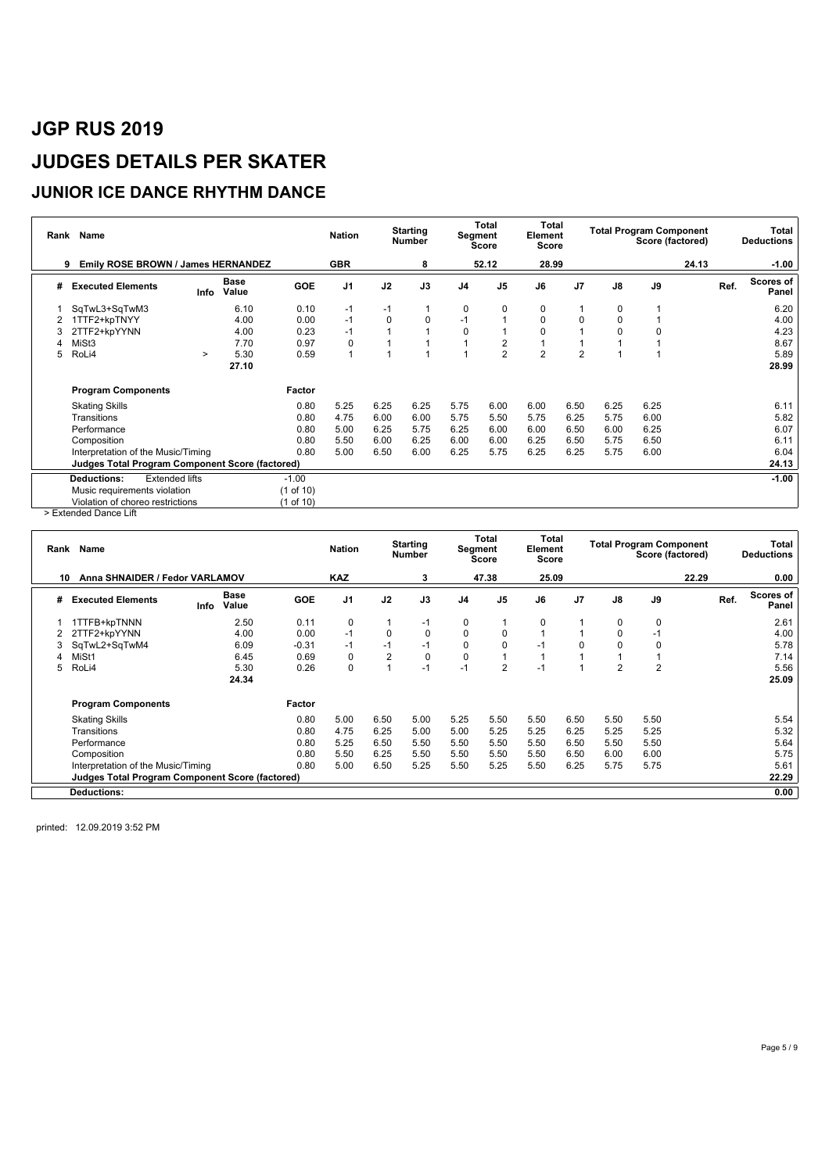#### **JUNIOR ICE DANCE RHYTHM DANCE**

| Rank | Name                                                   |                       |                      |           | <b>Nation</b>  |      | <b>Starting</b><br><b>Number</b> | Segment        | <b>Total</b><br><b>Score</b> | <b>Total</b><br>Element<br>Score |                |      | <b>Total Program Component</b><br>Score (factored) |       |      | Total<br><b>Deductions</b> |
|------|--------------------------------------------------------|-----------------------|----------------------|-----------|----------------|------|----------------------------------|----------------|------------------------------|----------------------------------|----------------|------|----------------------------------------------------|-------|------|----------------------------|
|      | Emily ROSE BROWN / James HERNANDEZ<br>9                |                       |                      |           | <b>GBR</b>     |      | 8                                |                | 52.12                        | 28.99                            |                |      |                                                    | 24.13 |      | $-1.00$                    |
| #    | <b>Executed Elements</b>                               | Info                  | <b>Base</b><br>Value | GOE       | J <sub>1</sub> | J2   | J3                               | J <sub>4</sub> | J5                           | J6                               | J <sub>7</sub> | J8   | J9                                                 |       | Ref. | Scores of<br>Panel         |
|      | SqTwL3+SqTwM3                                          |                       | 6.10                 | 0.10      | $-1$           | $-1$ |                                  | 0              | 0                            | 0                                |                | 0    |                                                    |       |      | 6.20                       |
|      | 1TTF2+kpTNYY                                           |                       | 4.00                 | 0.00      | $-1$           | 0    | 0                                | $-1$           | 1                            | 0                                | 0              | 0    |                                                    |       |      | 4.00                       |
|      | 2TTF2+kpYYNN                                           |                       | 4.00                 | 0.23      | $-1$           |      |                                  | 0              | 1                            |                                  |                |      |                                                    |       |      | 4.23                       |
|      | MiSt3                                                  |                       | 7.70                 | 0.97      | 0              |      |                                  |                | $\overline{c}$               |                                  |                |      |                                                    |       |      | 8.67                       |
| 5    | RoLi4                                                  | $\geq$                | 5.30                 | 0.59      |                |      |                                  |                | $\overline{2}$               | $\overline{2}$                   | $\overline{2}$ |      |                                                    |       |      | 5.89                       |
|      |                                                        |                       | 27.10                |           |                |      |                                  |                |                              |                                  |                |      |                                                    |       |      | 28.99                      |
|      | <b>Program Components</b>                              |                       |                      | Factor    |                |      |                                  |                |                              |                                  |                |      |                                                    |       |      |                            |
|      | <b>Skating Skills</b>                                  |                       |                      | 0.80      | 5.25           | 6.25 | 6.25                             | 5.75           | 6.00                         | 6.00                             | 6.50           | 6.25 | 6.25                                               |       |      | 6.11                       |
|      | Transitions                                            |                       |                      | 0.80      | 4.75           | 6.00 | 6.00                             | 5.75           | 5.50                         | 5.75                             | 6.25           | 5.75 | 6.00                                               |       |      | 5.82                       |
|      | Performance                                            |                       |                      | 0.80      | 5.00           | 6.25 | 5.75                             | 6.25           | 6.00                         | 6.00                             | 6.50           | 6.00 | 6.25                                               |       |      | 6.07                       |
|      | Composition                                            |                       |                      | 0.80      | 5.50           | 6.00 | 6.25                             | 6.00           | 6.00                         | 6.25                             | 6.50           | 5.75 | 6.50                                               |       |      | 6.11                       |
|      | Interpretation of the Music/Timing                     |                       |                      | 0.80      | 5.00           | 6.50 | 6.00                             | 6.25           | 5.75                         | 6.25                             | 6.25           | 5.75 | 6.00                                               |       |      | 6.04                       |
|      | <b>Judges Total Program Component Score (factored)</b> |                       |                      |           |                |      |                                  |                |                              |                                  |                |      |                                                    |       |      | 24.13                      |
|      | <b>Deductions:</b>                                     | <b>Extended lifts</b> |                      | $-1.00$   |                |      |                                  |                |                              |                                  |                |      |                                                    |       |      | $-1.00$                    |
|      | Music requirements violation                           |                       |                      | (1 of 10) |                |      |                                  |                |                              |                                  |                |      |                                                    |       |      |                            |
| - -  | Violation of choreo restrictions                       |                       |                      | (1 of 10) |                |      |                                  |                |                              |                                  |                |      |                                                    |       |      |                            |

> Extended Dance Lift

| Rank | Name                                            |      |                      |            | <b>Nation</b>  |                | <b>Starting</b><br><b>Number</b> |             | Total<br>Segment<br>Score | Total<br>Element<br><b>Score</b> |                |                | <b>Total Program Component</b><br>Score (factored) |       |      | Total<br><b>Deductions</b> |
|------|-------------------------------------------------|------|----------------------|------------|----------------|----------------|----------------------------------|-------------|---------------------------|----------------------------------|----------------|----------------|----------------------------------------------------|-------|------|----------------------------|
| 10   | Anna SHNAIDER / Fedor VARLAMOV                  |      |                      |            | <b>KAZ</b>     |                | 3                                |             | 47.38                     | 25.09                            |                |                |                                                    | 22.29 |      | 0.00                       |
| #    | <b>Executed Elements</b>                        | Info | <b>Base</b><br>Value | <b>GOE</b> | J <sub>1</sub> | J2             | J3                               | J4          | J <sub>5</sub>            | J6                               | J <sub>7</sub> | $\mathsf{J}8$  | J9                                                 |       | Ref. | Scores of<br>Panel         |
|      | <b>ITTFB+kpTNNN</b>                             |      | 2.50                 | 0.11       | 0              |                | $-1$                             | 0           |                           | 0                                |                | 0              | 0                                                  |       |      | 2.61                       |
|      | 2TTF2+kpYYNN                                    |      | 4.00                 | 0.00       | $-1$           | 0              | $\mathbf 0$                      | 0           | 0                         |                                  |                | $\Omega$       | -1                                                 |       |      | 4.00                       |
|      | SqTwL2+SqTwM4                                   |      | 6.09                 | $-0.31$    | $-1$           | $-1$           | $-1$                             | 0           | $\mathbf 0$               | $-1$                             | $\Omega$       |                | $\Omega$                                           |       |      | 5.78                       |
|      | MiSt1                                           |      | 6.45                 | 0.69       | $\Omega$       | $\overline{2}$ | 0                                | $\mathbf 0$ |                           |                                  |                |                |                                                    |       |      | 7.14                       |
| 5    | RoLi4                                           |      | 5.30                 | 0.26       | $\Omega$       |                | $-1$                             | $-1$        | $\overline{2}$            | $-1$                             |                | $\overline{2}$ | $\overline{2}$                                     |       |      | 5.56                       |
|      |                                                 |      | 24.34                |            |                |                |                                  |             |                           |                                  |                |                |                                                    |       |      | 25.09                      |
|      | <b>Program Components</b>                       |      |                      | Factor     |                |                |                                  |             |                           |                                  |                |                |                                                    |       |      |                            |
|      | <b>Skating Skills</b>                           |      |                      | 0.80       | 5.00           | 6.50           | 5.00                             | 5.25        | 5.50                      | 5.50                             | 6.50           | 5.50           | 5.50                                               |       |      | 5.54                       |
|      | Transitions                                     |      |                      | 0.80       | 4.75           | 6.25           | 5.00                             | 5.00        | 5.25                      | 5.25                             | 6.25           | 5.25           | 5.25                                               |       |      | 5.32                       |
|      | Performance                                     |      |                      | 0.80       | 5.25           | 6.50           | 5.50                             | 5.50        | 5.50                      | 5.50                             | 6.50           | 5.50           | 5.50                                               |       |      | 5.64                       |
|      | Composition                                     |      |                      | 0.80       | 5.50           | 6.25           | 5.50                             | 5.50        | 5.50                      | 5.50                             | 6.50           | 6.00           | 6.00                                               |       |      | 5.75                       |
|      | Interpretation of the Music/Timing              |      |                      | 0.80       | 5.00           | 6.50           | 5.25                             | 5.50        | 5.25                      | 5.50                             | 6.25           | 5.75           | 5.75                                               |       |      | 5.61                       |
|      | Judges Total Program Component Score (factored) |      |                      |            |                |                |                                  |             |                           |                                  |                |                |                                                    |       |      | 22.29                      |
|      | <b>Deductions:</b>                              |      |                      |            |                |                |                                  |             |                           |                                  |                |                |                                                    |       |      | 0.00                       |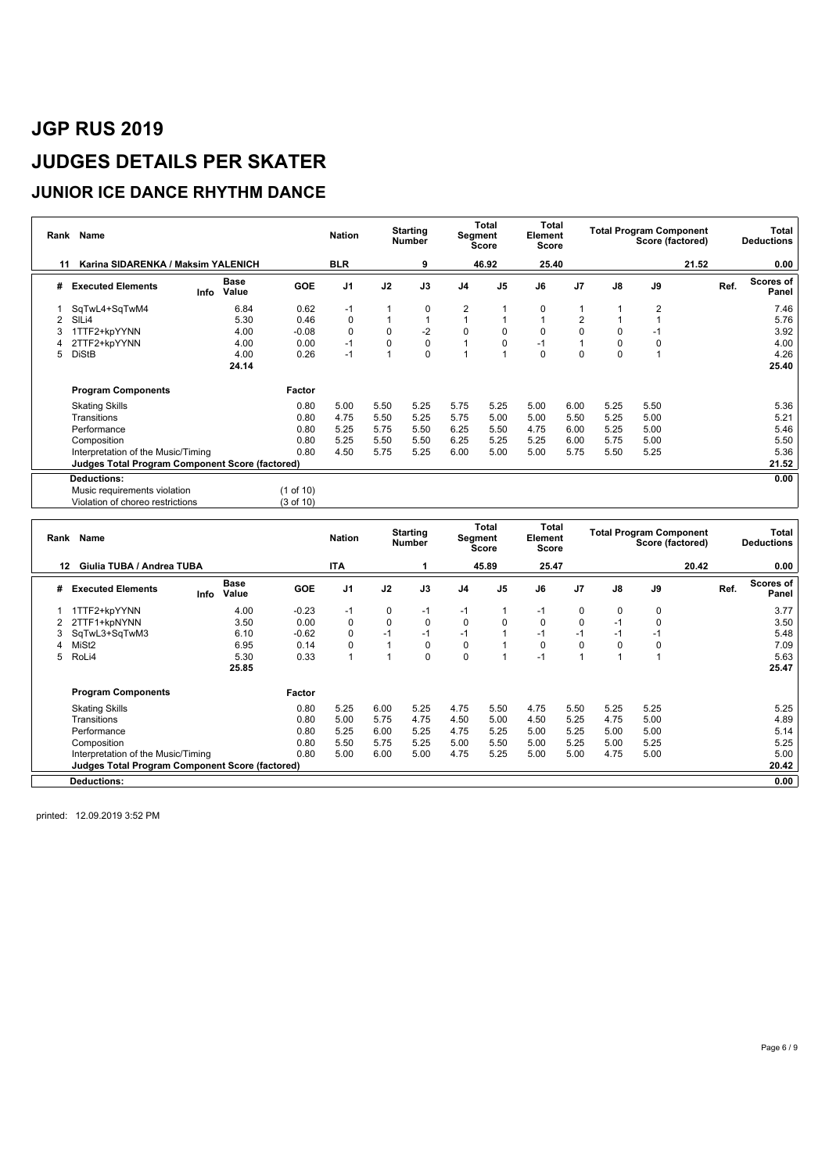### **JUNIOR ICE DANCE RHYTHM DANCE**

| Rank | Name                                            |      |               |            | <b>Nation</b>  |      | <b>Starting</b><br><b>Number</b> | Segment        | Total<br><b>Score</b> | Total<br>Element<br>Score |                |               | <b>Total Program Component</b><br>Score (factored) |       |      | Total<br><b>Deductions</b> |
|------|-------------------------------------------------|------|---------------|------------|----------------|------|----------------------------------|----------------|-----------------------|---------------------------|----------------|---------------|----------------------------------------------------|-------|------|----------------------------|
| 11   | Karina SIDARENKA / Maksim YALENICH              |      |               |            | <b>BLR</b>     |      | 9                                |                | 46.92                 | 25.40                     |                |               |                                                    | 21.52 |      | 0.00                       |
| #    | <b>Executed Elements</b>                        | Info | Base<br>Value | <b>GOE</b> | J <sub>1</sub> | J2   | J3                               | J <sub>4</sub> | J <sub>5</sub>        | J6                        | J <sub>7</sub> | $\mathsf{J}8$ | J9                                                 |       | Ref. | <b>Scores of</b><br>Panel  |
|      | SqTwL4+SqTwM4                                   |      | 6.84          | 0.62       | $-1$           |      | 0                                | $\overline{2}$ |                       | 0                         |                |               | $\overline{2}$                                     |       |      | 7.46                       |
| 2    | SILi4                                           |      | 5.30          | 0.46       | 0              |      |                                  |                |                       |                           | 2              |               |                                                    |       |      | 5.76                       |
|      | 1TTF2+kpYYNN                                    |      | 4.00          | $-0.08$    | 0              | 0    | $-2$                             | 0              | 0                     | $\mathbf 0$               | 0              | 0             | $-1$                                               |       |      | 3.92                       |
|      | 2TTF2+kpYYNN                                    |      | 4.00          | 0.00       | $-1$           | 0    | $\pmb{0}$                        |                | 0                     | $-1$                      |                |               | 0                                                  |       |      | 4.00                       |
| 5    | <b>DiStB</b>                                    |      | 4.00          | 0.26       | $-1$           |      | $\mathbf 0$                      |                |                       | 0                         | 0              | $\Omega$      |                                                    |       |      | 4.26                       |
|      |                                                 |      | 24.14         |            |                |      |                                  |                |                       |                           |                |               |                                                    |       |      | 25.40                      |
|      | <b>Program Components</b>                       |      |               | Factor     |                |      |                                  |                |                       |                           |                |               |                                                    |       |      |                            |
|      | <b>Skating Skills</b>                           |      |               | 0.80       | 5.00           | 5.50 | 5.25                             | 5.75           | 5.25                  | 5.00                      | 6.00           | 5.25          | 5.50                                               |       |      | 5.36                       |
|      | Transitions                                     |      |               | 0.80       | 4.75           | 5.50 | 5.25                             | 5.75           | 5.00                  | 5.00                      | 5.50           | 5.25          | 5.00                                               |       |      | 5.21                       |
|      | Performance                                     |      |               | 0.80       | 5.25           | 5.75 | 5.50                             | 6.25           | 5.50                  | 4.75                      | 6.00           | 5.25          | 5.00                                               |       |      | 5.46                       |
|      | Composition                                     |      |               | 0.80       | 5.25           | 5.50 | 5.50                             | 6.25           | 5.25                  | 5.25                      | 6.00           | 5.75          | 5.00                                               |       |      | 5.50                       |
|      | Interpretation of the Music/Timing              |      |               | 0.80       | 4.50           | 5.75 | 5.25                             | 6.00           | 5.00                  | 5.00                      | 5.75           | 5.50          | 5.25                                               |       |      | 5.36                       |
|      | Judges Total Program Component Score (factored) |      |               |            |                |      |                                  |                |                       |                           |                |               |                                                    |       |      | 21.52                      |
|      | <b>Deductions:</b>                              |      |               |            |                |      |                                  |                |                       |                           |                |               |                                                    |       |      | 0.00                       |
|      | Music requirements violation                    |      |               | (1 of 10)  |                |      |                                  |                |                       |                           |                |               |                                                    |       |      |                            |
|      | Violation of choreo restrictions                |      |               | (3 of 10)  |                |      |                                  |                |                       |                           |                |               |                                                    |       |      |                            |

| Rank | Name                                                   |      |               |            | <b>Nation</b>  |      | <b>Starting</b><br><b>Number</b> |                | Total<br>Segment<br><b>Score</b> | Total<br>Element<br><b>Score</b> |                |               | <b>Total Program Component</b><br>Score (factored) |       |      | Total<br><b>Deductions</b> |
|------|--------------------------------------------------------|------|---------------|------------|----------------|------|----------------------------------|----------------|----------------------------------|----------------------------------|----------------|---------------|----------------------------------------------------|-------|------|----------------------------|
| 12   | Giulia TUBA / Andrea TUBA                              |      |               |            | ITA            |      |                                  |                | 45.89                            | 25.47                            |                |               |                                                    | 20.42 |      | 0.00                       |
| #    | <b>Executed Elements</b>                               | Info | Base<br>Value | <b>GOE</b> | J <sub>1</sub> | J2   | J3                               | J <sub>4</sub> | J <sub>5</sub>                   | J6                               | J <sub>7</sub> | $\mathsf{J}8$ | J9                                                 |       | Ref. | Scores of<br>Panel         |
|      | 1TTF2+kpYYNN                                           |      | 4.00          | $-0.23$    | $-1$           | 0    | $-1$                             | $-1$           |                                  | $-1$                             | 0              | 0             | $\mathbf 0$                                        |       |      | 3.77                       |
| 2    | 2TTF1+kpNYNN                                           |      | 3.50          | 0.00       | $\Omega$       | 0    | $\mathbf 0$                      | 0              | $\mathbf 0$                      | 0                                | $\mathbf 0$    | $-1$          | $\Omega$                                           |       |      | 3.50                       |
| 3    | SqTwL3+SqTwM3                                          |      | 6.10          | $-0.62$    | $\Omega$       | $-1$ | $-1$                             | $-1$           |                                  | $-1$                             | $-1$           | $-1$          | -1                                                 |       |      | 5.48                       |
|      | MiSt <sub>2</sub>                                      |      | 6.95          | 0.14       | 0              |      | 0                                | 0              |                                  | 0                                | $\mathbf 0$    | 0             | 0                                                  |       |      | 7.09                       |
| 5    | RoLi4                                                  |      | 5.30          | 0.33       |                |      | $\mathbf 0$                      | $\mathbf 0$    |                                  | $-1$                             |                |               |                                                    |       |      | 5.63                       |
|      |                                                        |      | 25.85         |            |                |      |                                  |                |                                  |                                  |                |               |                                                    |       |      | 25.47                      |
|      | <b>Program Components</b>                              |      |               | Factor     |                |      |                                  |                |                                  |                                  |                |               |                                                    |       |      |                            |
|      | <b>Skating Skills</b>                                  |      |               | 0.80       | 5.25           | 6.00 | 5.25                             | 4.75           | 5.50                             | 4.75                             | 5.50           | 5.25          | 5.25                                               |       |      | 5.25                       |
|      | Transitions                                            |      |               | 0.80       | 5.00           | 5.75 | 4.75                             | 4.50           | 5.00                             | 4.50                             | 5.25           | 4.75          | 5.00                                               |       |      | 4.89                       |
|      | Performance                                            |      |               | 0.80       | 5.25           | 6.00 | 5.25                             | 4.75           | 5.25                             | 5.00                             | 5.25           | 5.00          | 5.00                                               |       |      | 5.14                       |
|      | Composition                                            |      |               | 0.80       | 5.50           | 5.75 | 5.25                             | 5.00           | 5.50                             | 5.00                             | 5.25           | 5.00          | 5.25                                               |       |      | 5.25                       |
|      | Interpretation of the Music/Timing                     |      |               | 0.80       | 5.00           | 6.00 | 5.00                             | 4.75           | 5.25                             | 5.00                             | 5.00           | 4.75          | 5.00                                               |       |      | 5.00                       |
|      | <b>Judges Total Program Component Score (factored)</b> |      |               |            |                |      |                                  |                |                                  |                                  |                |               |                                                    |       |      | 20.42                      |
|      | <b>Deductions:</b>                                     |      |               |            |                |      |                                  |                |                                  |                                  |                |               |                                                    |       |      | 0.00                       |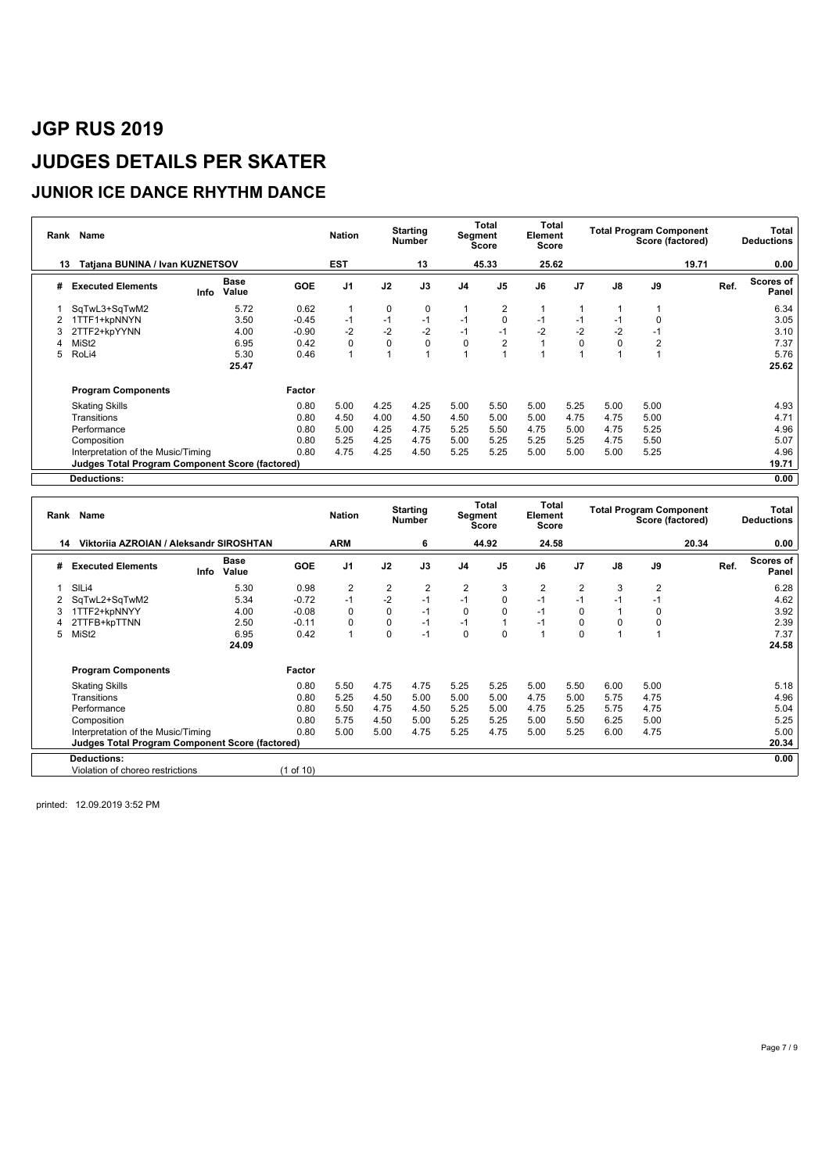### **JUNIOR ICE DANCE RHYTHM DANCE**

| Rank | Name                                                   |            |               |            | <b>Nation</b>  |       | <b>Starting</b><br>Number |      | Total<br>Segment<br>Score |      | Total<br>Element<br>Score | <b>Total Program Component</b> | Score (factored) | Total<br><b>Deductions</b> |                                   |
|------|--------------------------------------------------------|------------|---------------|------------|----------------|-------|---------------------------|------|---------------------------|------|---------------------------|--------------------------------|------------------|----------------------------|-----------------------------------|
| 13   | Tatjana BUNINA / Ivan KUZNETSOV                        | <b>EST</b> |               | 13         |                | 45.33 | 25.62                     |      |                           |      | 19.71                     | 0.00                           |                  |                            |                                   |
| #    | <b>Executed Elements</b>                               | Info       | Base<br>Value | <b>GOE</b> | J <sub>1</sub> | J2    | J3                        | J4   | J <sub>5</sub>            | J6   | J <sub>7</sub>            | J8                             | J9               |                            | <b>Scores of</b><br>Ref.<br>Panel |
|      | SqTwL3+SqTwM2                                          |            | 5.72          | 0.62       |                | 0     | 0                         |      | $\overline{2}$            |      |                           |                                |                  |                            | 6.34                              |
| 2    | TTF1+kpNNYN                                            |            | 3.50          | $-0.45$    | $-1$           | $-1$  | $-1$                      | $-1$ | 0                         | $-1$ | $-1$                      | -1                             |                  |                            | 3.05                              |
|      | 2TTF2+kpYYNN                                           |            | 4.00          | $-0.90$    | $-2$           | $-2$  | $-2$                      | $-1$ | $-1$                      | $-2$ | $-2$                      | $-2$                           | -1               |                            | 3.10                              |
|      | MiSt <sub>2</sub>                                      |            | 6.95          | 0.42       | $\Omega$       | 0     | 0                         | 0    | 2                         |      | $\Omega$                  |                                | 2                |                            | 7.37                              |
| 5.   | RoLi4                                                  |            | 5.30          | 0.46       |                |       |                           |      |                           |      |                           |                                |                  |                            | 5.76                              |
|      |                                                        |            | 25.47         |            |                |       |                           |      |                           |      |                           |                                |                  |                            | 25.62                             |
|      | <b>Program Components</b>                              |            |               | Factor     |                |       |                           |      |                           |      |                           |                                |                  |                            |                                   |
|      | <b>Skating Skills</b>                                  |            |               | 0.80       | 5.00           | 4.25  | 4.25                      | 5.00 | 5.50                      | 5.00 | 5.25                      | 5.00                           | 5.00             |                            | 4.93                              |
|      | Transitions                                            |            |               | 0.80       | 4.50           | 4.00  | 4.50                      | 4.50 | 5.00                      | 5.00 | 4.75                      | 4.75                           | 5.00             |                            | 4.71                              |
|      | Performance                                            |            |               | 0.80       | 5.00           | 4.25  | 4.75                      | 5.25 | 5.50                      | 4.75 | 5.00                      | 4.75                           | 5.25             |                            | 4.96                              |
|      | Composition                                            |            |               | 0.80       | 5.25           | 4.25  | 4.75                      | 5.00 | 5.25                      | 5.25 | 5.25                      | 4.75                           | 5.50             |                            | 5.07                              |
|      | Interpretation of the Music/Timing                     |            |               | 0.80       | 4.75           | 4.25  | 4.50                      | 5.25 | 5.25                      | 5.00 | 5.00                      | 5.00                           | 5.25             |                            | 4.96                              |
|      | <b>Judges Total Program Component Score (factored)</b> |            |               |            |                |       |                           |      |                           |      |                           |                                |                  |                            | 19.71                             |
|      | <b>Deductions:</b>                                     |            |               |            |                |       |                           |      |                           |      |                           |                                |                  |                            | 0.00                              |

|   | Rank Name                                       |      | <b>Nation</b> |            | <b>Starting</b><br><b>Number</b> | Segment | Total<br>Score | Total<br>Element<br>Score |                |                | <b>Total Program Component</b> | Score (factored) |      | Total<br><b>Deductions</b> |       |                           |
|---|-------------------------------------------------|------|---------------|------------|----------------------------------|---------|----------------|---------------------------|----------------|----------------|--------------------------------|------------------|------|----------------------------|-------|---------------------------|
|   | Viktorija AZROJAN / Aleksandr SIROSHTAN<br>14   |      |               |            | ARM                              |         | 6              |                           | 44.92          | 24.58          |                                |                  |      | 20.34                      |       | 0.00                      |
| # | <b>Executed Elements</b>                        | Info | Base<br>Value | <b>GOE</b> | J <sub>1</sub>                   | J2      | J3             | J <sub>4</sub>            | J <sub>5</sub> | J6             | J <sub>7</sub>                 | J8               | J9   |                            | Ref.  | <b>Scores of</b><br>Panel |
|   | SIL <sub>i4</sub>                               |      | 5.30          | 0.98       | $\overline{2}$                   | 2       | 2              | $\overline{2}$            | 3              | $\overline{2}$ | 2                              | 3                | 2    |                            |       | 6.28                      |
|   | SqTwL2+SqTwM2                                   |      | 5.34          | $-0.72$    | $-1$                             | $-2$    | $-1$           | $-1$                      | $\mathbf 0$    | $-1$           | $-1$                           | $-1$             | $-1$ |                            |       | 4.62                      |
|   | 1TTF2+kpNNYY                                    |      | 4.00          | $-0.08$    | $\Omega$                         | 0       | $-1$           | 0                         | $\mathbf 0$    | $-1$           | 0                              |                  | 0    |                            |       | 3.92                      |
|   | 2TTFB+kpTTNN                                    |      | 2.50          | $-0.11$    | $\Omega$                         | 0       | $-1$           | $-1$                      | 1              | $-1$           | 0                              | 0                | 0    |                            |       | 2.39                      |
| 5 | MiSt <sub>2</sub>                               |      | 6.95          | 0.42       |                                  | 0       | $-1$           | 0                         | 0              |                | $\Omega$                       |                  |      |                            |       | 7.37                      |
|   | 24.09                                           |      |               |            |                                  |         |                |                           |                |                |                                |                  |      |                            | 24.58 |                           |
|   | <b>Program Components</b>                       |      |               | Factor     |                                  |         |                |                           |                |                |                                |                  |      |                            |       |                           |
|   | <b>Skating Skills</b>                           |      |               | 0.80       | 5.50                             | 4.75    | 4.75           | 5.25                      | 5.25           | 5.00           | 5.50                           | 6.00             | 5.00 |                            |       | 5.18                      |
|   | Transitions                                     |      |               | 0.80       | 5.25                             | 4.50    | 5.00           | 5.00                      | 5.00           | 4.75           | 5.00                           | 5.75             | 4.75 |                            |       | 4.96                      |
|   | Performance                                     |      |               | 0.80       | 5.50                             | 4.75    | 4.50           | 5.25                      | 5.00           | 4.75           | 5.25                           | 5.75             | 4.75 |                            |       | 5.04                      |
|   | Composition                                     |      |               | 0.80       | 5.75                             | 4.50    | 5.00           | 5.25                      | 5.25           | 5.00           | 5.50                           | 6.25             | 5.00 |                            |       | 5.25                      |
|   | Interpretation of the Music/Timing              |      |               | 0.80       | 5.00                             | 5.00    | 4.75           | 5.25                      | 4.75           | 5.00           | 5.25                           | 6.00             | 4.75 |                            |       | 5.00                      |
|   | Judges Total Program Component Score (factored) |      |               |            |                                  |         |                |                           |                |                |                                |                  |      |                            |       | 20.34                     |
|   | <b>Deductions:</b>                              |      |               |            |                                  |         |                |                           |                |                |                                |                  |      |                            |       | 0.00                      |
|   | Violation of choreo restrictions                |      |               | (1 of 10)  |                                  |         |                |                           |                |                |                                |                  |      |                            |       |                           |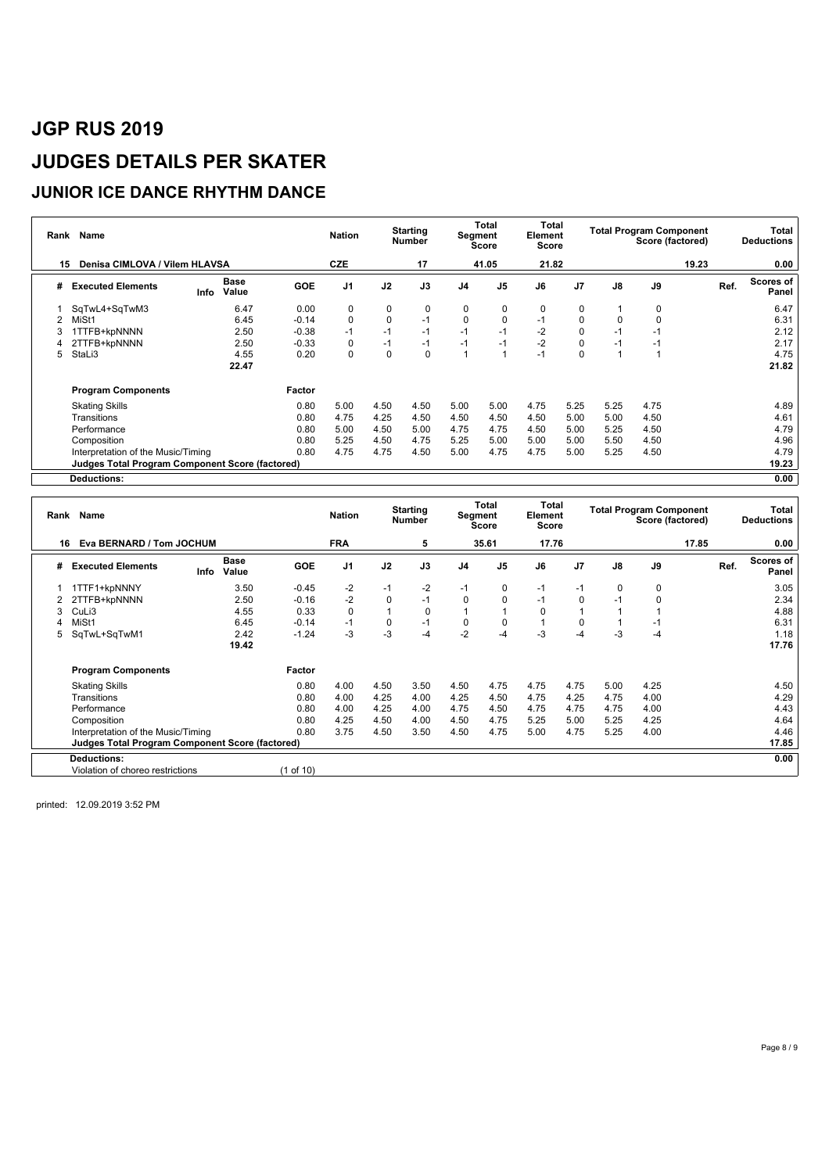#### **JUNIOR ICE DANCE RHYTHM DANCE**

| Rank | Name                                                   |      |               |            | <b>Nation</b>  |          | <b>Starting</b><br>Number |                | Total<br>Segment<br>Score |      | Total<br>Element<br>Score |       | <b>Total Program Component</b><br>Score (factored) |      | Total<br><b>Deductions</b> |                    |
|------|--------------------------------------------------------|------|---------------|------------|----------------|----------|---------------------------|----------------|---------------------------|------|---------------------------|-------|----------------------------------------------------|------|----------------------------|--------------------|
| 15   | Denisa CIMLOVA / Vilem HLAVSA                          |      | <b>CZE</b>    |            | 17             |          | 41.05                     | 21.82          |                           |      |                           | 19.23 |                                                    | 0.00 |                            |                    |
| #    | <b>Executed Elements</b>                               | Info | Base<br>Value | <b>GOE</b> | J <sub>1</sub> | J2       | J3                        | J <sub>4</sub> | J <sub>5</sub>            | J6   | J <sub>7</sub>            | J8    | J9                                                 |      | Ref.                       | Scores of<br>Panel |
|      | SqTwL4+SqTwM3                                          |      | 6.47          | 0.00       | 0              | 0        | 0                         | 0              | 0                         | 0    | 0                         |       | 0                                                  |      |                            | 6.47               |
|      | MiSt1                                                  |      | 6.45          | $-0.14$    | $\Omega$       | 0        | $-1$                      | $\mathbf 0$    | 0                         | $-1$ | 0                         |       |                                                    |      |                            | 6.31               |
|      | <b>TTFB+kpNNNN</b>                                     |      | 2.50          | $-0.38$    | $-1$           | $-1$     | $-1$                      | $-1$           | $-1$                      | $-2$ | 0                         | -1    | -1                                                 |      |                            | 2.12               |
|      | 2TTFB+kpNNNN                                           |      | 2.50          | $-0.33$    | 0              | $-1$     | $-1$                      | $-1$           | $-1$                      | $-2$ | 0                         | $-1$  | -1                                                 |      |                            | 2.17               |
| 5    | StaLi3                                                 |      | 4.55          | 0.20       | $\Omega$       | $\Omega$ | $\mathbf 0$               | $\overline{A}$ | $\overline{A}$            | $-1$ | $\Omega$                  |       |                                                    |      |                            | 4.75               |
|      |                                                        |      | 22.47         |            |                |          |                           |                |                           |      |                           |       |                                                    |      |                            | 21.82              |
|      | <b>Program Components</b>                              |      |               | Factor     |                |          |                           |                |                           |      |                           |       |                                                    |      |                            |                    |
|      | <b>Skating Skills</b>                                  |      |               | 0.80       | 5.00           | 4.50     | 4.50                      | 5.00           | 5.00                      | 4.75 | 5.25                      | 5.25  | 4.75                                               |      |                            | 4.89               |
|      | Transitions                                            |      |               | 0.80       | 4.75           | 4.25     | 4.50                      | 4.50           | 4.50                      | 4.50 | 5.00                      | 5.00  | 4.50                                               |      |                            | 4.61               |
|      | Performance                                            |      |               | 0.80       | 5.00           | 4.50     | 5.00                      | 4.75           | 4.75                      | 4.50 | 5.00                      | 5.25  | 4.50                                               |      |                            | 4.79               |
|      | Composition                                            |      |               | 0.80       | 5.25           | 4.50     | 4.75                      | 5.25           | 5.00                      | 5.00 | 5.00                      | 5.50  | 4.50                                               |      |                            | 4.96               |
|      | Interpretation of the Music/Timing                     |      |               | 0.80       | 4.75           | 4.75     | 4.50                      | 5.00           | 4.75                      | 4.75 | 5.00                      | 5.25  | 4.50                                               |      |                            | 4.79               |
|      | <b>Judges Total Program Component Score (factored)</b> |      |               |            |                |          |                           |                |                           |      |                           |       |                                                    |      |                            | 19.23              |
|      | <b>Deductions:</b>                                     |      |               |            |                |          |                           |                |                           |      |                           |       |                                                    |      |                            | 0.00               |

|   | Rank Name                                       |      |               |            | <b>Nation</b>  |      | <b>Starting</b><br><b>Number</b> |                | Total<br>Segment<br>Score |          | Total<br>Element<br>Score | <b>Total Program Component</b><br>Score (factored) |      |       |      | Total<br><b>Deductions</b> |
|---|-------------------------------------------------|------|---------------|------------|----------------|------|----------------------------------|----------------|---------------------------|----------|---------------------------|----------------------------------------------------|------|-------|------|----------------------------|
|   | Eva BERNARD / Tom JOCHUM<br>16                  |      |               |            | <b>FRA</b>     |      | 5                                |                | 35.61                     | 17.76    |                           |                                                    |      | 17.85 |      | 0.00                       |
| # | <b>Executed Elements</b>                        | Info | Base<br>Value | <b>GOE</b> | J <sub>1</sub> | J2   | J3                               | J <sub>4</sub> | J <sub>5</sub>            | J6       | J <sub>7</sub>            | J8                                                 | J9   |       | Ref. | <b>Scores of</b><br>Panel  |
|   | 1TTF1+kpNNNY                                    |      | 3.50          | $-0.45$    | $-2$           | $-1$ | $-2$                             | $-1$           | 0                         | $-1$     | $-1$                      | $\Omega$                                           | 0    |       |      | 3.05                       |
|   | 2TTFB+kpNNNN                                    |      | 2.50          | $-0.16$    | $-2$           | 0    | $-1$                             | 0              | $\mathbf 0$               | $-1$     | $\Omega$                  | $-1$                                               | 0    |       |      | 2.34                       |
| 3 | CuLi3                                           |      | 4.55          | 0.33       | $\Omega$       |      | $\mathbf 0$                      |                |                           | $\Omega$ |                           |                                                    |      |       |      | 4.88                       |
|   | MiSt1                                           |      | 6.45          | $-0.14$    | $-1$           | 0    | $-1$                             | 0              | $\mathbf 0$               |          | 0                         |                                                    | -1   |       |      | 6.31                       |
| 5 | SqTwL+SqTwM1                                    |      | 2.42          | $-1.24$    | $-3$           | $-3$ | $-4$                             | $-2$           | $-4$                      | $-3$     | -4                        | $-3$                                               | -4   |       |      | 1.18                       |
|   |                                                 |      | 19.42         |            |                |      |                                  |                |                           |          |                           |                                                    |      |       |      | 17.76                      |
|   | <b>Program Components</b>                       |      |               | Factor     |                |      |                                  |                |                           |          |                           |                                                    |      |       |      |                            |
|   | <b>Skating Skills</b>                           |      |               | 0.80       | 4.00           | 4.50 | 3.50                             | 4.50           | 4.75                      | 4.75     | 4.75                      | 5.00                                               | 4.25 |       |      | 4.50                       |
|   | Transitions                                     |      |               | 0.80       | 4.00           | 4.25 | 4.00                             | 4.25           | 4.50                      | 4.75     | 4.25                      | 4.75                                               | 4.00 |       |      | 4.29                       |
|   | Performance                                     |      |               | 0.80       | 4.00           | 4.25 | 4.00                             | 4.75           | 4.50                      | 4.75     | 4.75                      | 4.75                                               | 4.00 |       |      | 4.43                       |
|   | Composition                                     |      |               | 0.80       | 4.25           | 4.50 | 4.00                             | 4.50           | 4.75                      | 5.25     | 5.00                      | 5.25                                               | 4.25 |       |      | 4.64                       |
|   | Interpretation of the Music/Timing              |      |               | 0.80       | 3.75           | 4.50 | 3.50                             | 4.50           | 4.75                      | 5.00     | 4.75                      | 5.25                                               | 4.00 |       |      | 4.46                       |
|   | Judges Total Program Component Score (factored) |      |               |            |                |      |                                  |                |                           |          |                           |                                                    |      |       |      | 17.85                      |
|   | <b>Deductions:</b>                              |      |               |            |                |      |                                  |                |                           |          |                           |                                                    |      |       |      | 0.00                       |
|   | Violation of choreo restrictions                |      |               | (1 of 10)  |                |      |                                  |                |                           |          |                           |                                                    |      |       |      |                            |